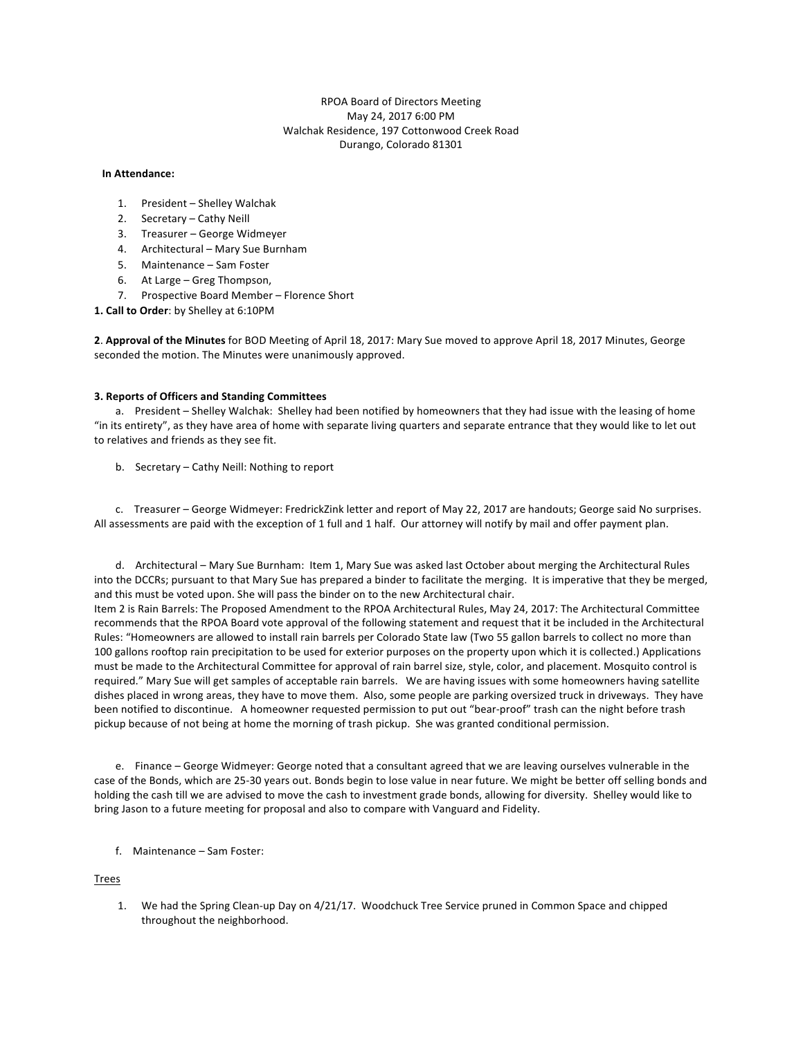# RPOA Board of Directors Meeting May 24, 2017 6:00 PM Walchak Residence, 197 Cottonwood Creek Road Durango, Colorado 81301

### **In Attendance:**

- 1. President Shelley Walchak
- 2. Secretary Cathy Neill
- 3. Treasurer George Widmeyer
- 4. Architectural Mary Sue Burnham
- 5. Maintenance Sam Foster
- 6. At Large Greg Thompson,
- 7. Prospective Board Member Florence Short

1. Call to Order: by Shelley at 6:10PM

2. Approval of the Minutes for BOD Meeting of April 18, 2017: Mary Sue moved to approve April 18, 2017 Minutes, George seconded the motion. The Minutes were unanimously approved.

### **3. Reports of Officers and Standing Committees**

a. President - Shelley Walchak: Shelley had been notified by homeowners that they had issue with the leasing of home "in its entirety", as they have area of home with separate living quarters and separate entrance that they would like to let out to relatives and friends as they see fit.

b. Secretary – Cathy Neill: Nothing to report

c. Treasurer – George Widmeyer: FredrickZink letter and report of May 22, 2017 are handouts; George said No surprises. All assessments are paid with the exception of 1 full and 1 half. Our attorney will notify by mail and offer payment plan.

d. Architectural – Mary Sue Burnham: Item 1, Mary Sue was asked last October about merging the Architectural Rules into the DCCRs; pursuant to that Mary Sue has prepared a binder to facilitate the merging. It is imperative that they be merged, and this must be voted upon. She will pass the binder on to the new Architectural chair. Item 2 is Rain Barrels: The Proposed Amendment to the RPOA Architectural Rules, May 24, 2017: The Architectural Committee recommends that the RPOA Board vote approval of the following statement and request that it be included in the Architectural Rules: "Homeowners are allowed to install rain barrels per Colorado State law (Two 55 gallon barrels to collect no more than

100 gallons rooftop rain precipitation to be used for exterior purposes on the property upon which it is collected.) Applications must be made to the Architectural Committee for approval of rain barrel size, style, color, and placement. Mosquito control is required." Mary Sue will get samples of acceptable rain barrels. We are having issues with some homeowners having satellite dishes placed in wrong areas, they have to move them. Also, some people are parking oversized truck in driveways. They have been notified to discontinue. A homeowner requested permission to put out "bear-proof" trash can the night before trash pickup because of not being at home the morning of trash pickup. She was granted conditional permission.

e. Finance - George Widmeyer: George noted that a consultant agreed that we are leaving ourselves vulnerable in the case of the Bonds, which are 25-30 years out. Bonds begin to lose value in near future. We might be better off selling bonds and holding the cash till we are advised to move the cash to investment grade bonds, allowing for diversity. Shelley would like to bring Jason to a future meeting for proposal and also to compare with Vanguard and Fidelity.

f. Maintenance - Sam Foster:

Trees

1. We had the Spring Clean-up Day on 4/21/17. Woodchuck Tree Service pruned in Common Space and chipped throughout the neighborhood.